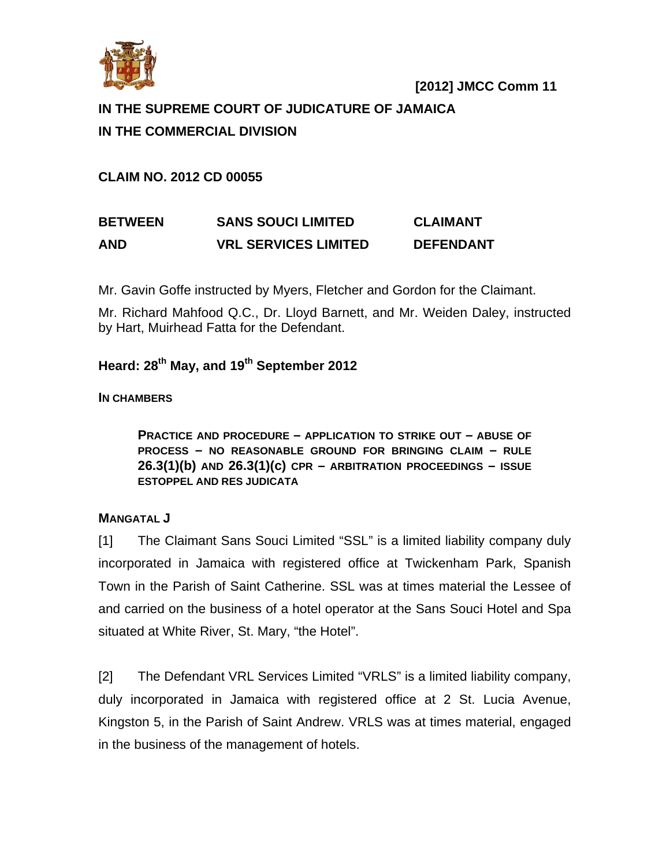

# **IN THE SUPREME COURT OF JUDICATURE OF JAMAICA IN THE COMMERCIAL DIVISION**

**CLAIM NO. 2012 CD 00055** 

# **BETWEEN SANS SOUCI LIMITED CLAIMANT AND VRL SERVICES LIMITED DEFENDANT**

Mr. Gavin Goffe instructed by Myers, Fletcher and Gordon for the Claimant.

Mr. Richard Mahfood Q.C., Dr. Lloyd Barnett, and Mr. Weiden Daley, instructed by Hart, Muirhead Fatta for the Defendant.

# **Heard: 28th May, and 19th September 2012**

## **IN CHAMBERS**

**PRACTICE AND PROCEDURE – APPLICATION TO STRIKE OUT – ABUSE OF PROCESS – NO REASONABLE GROUND FOR BRINGING CLAIM – RULE 26.3(1)(b) AND 26.3(1)(c) CPR – ARBITRATION PROCEEDINGS – ISSUE ESTOPPEL AND RES JUDICATA**

## **MANGATAL J**

[1] The Claimant Sans Souci Limited "SSL" is a limited liability company duly incorporated in Jamaica with registered office at Twickenham Park, Spanish Town in the Parish of Saint Catherine. SSL was at times material the Lessee of and carried on the business of a hotel operator at the Sans Souci Hotel and Spa situated at White River, St. Mary, "the Hotel".

[2] The Defendant VRL Services Limited "VRLS" is a limited liability company, duly incorporated in Jamaica with registered office at 2 St. Lucia Avenue, Kingston 5, in the Parish of Saint Andrew. VRLS was at times material, engaged in the business of the management of hotels.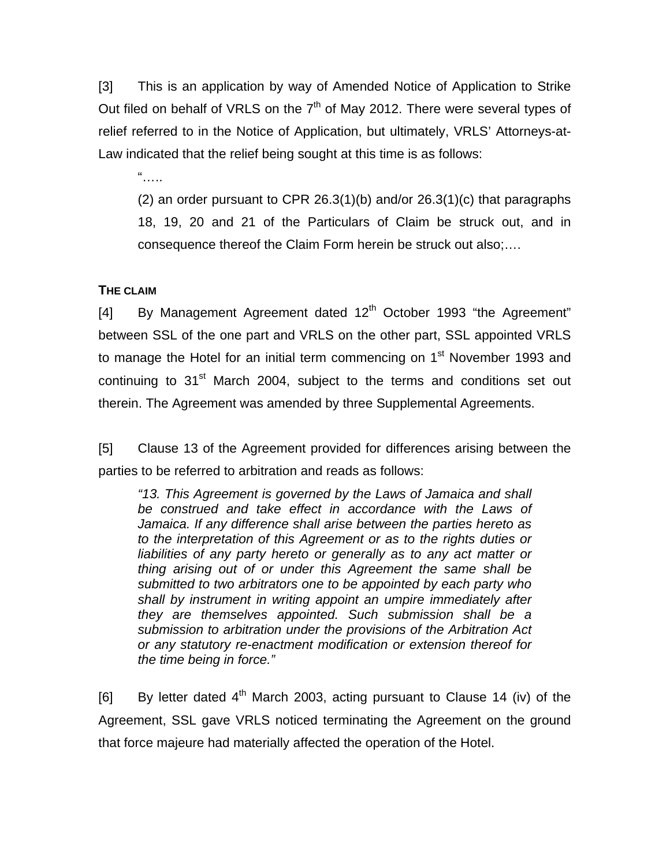[3] This is an application by way of Amended Notice of Application to Strike Out filed on behalf of VRLS on the  $7<sup>th</sup>$  of May 2012. There were several types of relief referred to in the Notice of Application, but ultimately, VRLS' Attorneys-at-Law indicated that the relief being sought at this time is as follows:

 $\frac{a}{\sqrt{a}}$ 

(2) an order pursuant to CPR 26.3(1)(b) and/or 26.3(1)(c) that paragraphs 18, 19, 20 and 21 of the Particulars of Claim be struck out, and in consequence thereof the Claim Form herein be struck out also;….

### **THE CLAIM**

[4] By Management Agreement dated  $12<sup>th</sup>$  October 1993 "the Agreement" between SSL of the one part and VRLS on the other part, SSL appointed VRLS to manage the Hotel for an initial term commencing on  $1<sup>st</sup>$  November 1993 and continuing to 31<sup>st</sup> March 2004, subject to the terms and conditions set out therein. The Agreement was amended by three Supplemental Agreements.

[5] Clause 13 of the Agreement provided for differences arising between the parties to be referred to arbitration and reads as follows:

*"13. This Agreement is governed by the Laws of Jamaica and shall be construed and take effect in accordance with the Laws of Jamaica. If any difference shall arise between the parties hereto as to the interpretation of this Agreement or as to the rights duties or*  liabilities of any party hereto or generally as to any act matter or *thing arising out of or under this Agreement the same shall be submitted to two arbitrators one to be appointed by each party who shall by instrument in writing appoint an umpire immediately after they are themselves appointed. Such submission shall be a submission to arbitration under the provisions of the Arbitration Act or any statutory re-enactment modification or extension thereof for the time being in force."* 

[6] By letter dated  $4<sup>th</sup>$  March 2003, acting pursuant to Clause 14 (iv) of the Agreement, SSL gave VRLS noticed terminating the Agreement on the ground that force majeure had materially affected the operation of the Hotel.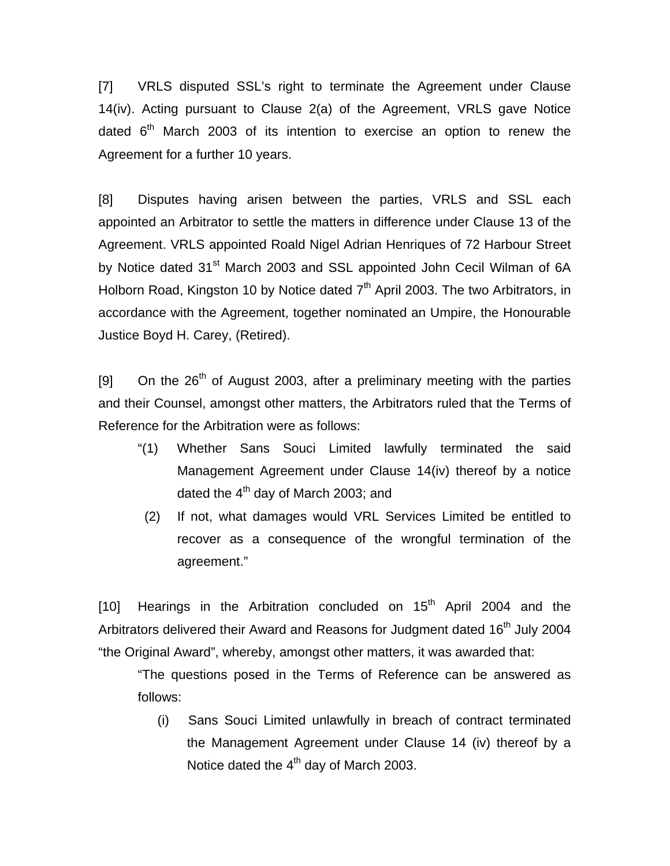[7] VRLS disputed SSL's right to terminate the Agreement under Clause 14(iv). Acting pursuant to Clause 2(a) of the Agreement, VRLS gave Notice dated  $6<sup>th</sup>$  March 2003 of its intention to exercise an option to renew the Agreement for a further 10 years.

[8] Disputes having arisen between the parties, VRLS and SSL each appointed an Arbitrator to settle the matters in difference under Clause 13 of the Agreement. VRLS appointed Roald Nigel Adrian Henriques of 72 Harbour Street by Notice dated 31<sup>st</sup> March 2003 and SSL appointed John Cecil Wilman of 6A Holborn Road, Kingston 10 by Notice dated  $7<sup>th</sup>$  April 2003. The two Arbitrators, in accordance with the Agreement, together nominated an Umpire, the Honourable Justice Boyd H. Carey, (Retired).

[9] On the  $26<sup>th</sup>$  of August 2003, after a preliminary meeting with the parties and their Counsel, amongst other matters, the Arbitrators ruled that the Terms of Reference for the Arbitration were as follows:

- "(1) Whether Sans Souci Limited lawfully terminated the said Management Agreement under Clause 14(iv) thereof by a notice dated the  $4<sup>th</sup>$  day of March 2003; and
- (2) If not, what damages would VRL Services Limited be entitled to recover as a consequence of the wrongful termination of the agreement."

[10] Hearings in the Arbitration concluded on  $15<sup>th</sup>$  April 2004 and the Arbitrators delivered their Award and Reasons for Judgment dated  $16<sup>th</sup>$  July 2004 "the Original Award", whereby, amongst other matters, it was awarded that:

"The questions posed in the Terms of Reference can be answered as follows:

(i) Sans Souci Limited unlawfully in breach of contract terminated the Management Agreement under Clause 14 (iv) thereof by a Notice dated the 4<sup>th</sup> day of March 2003.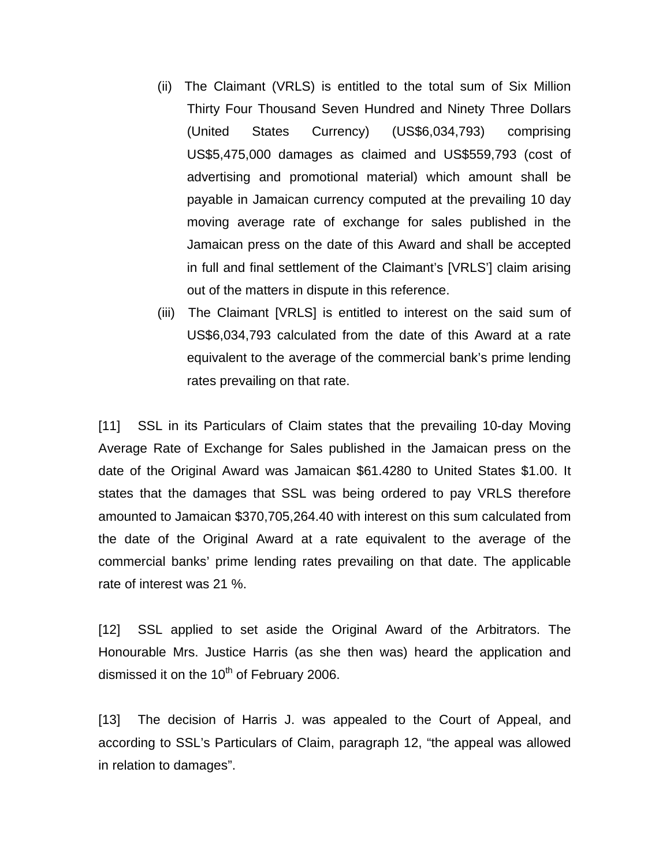- (ii) The Claimant (VRLS) is entitled to the total sum of Six Million Thirty Four Thousand Seven Hundred and Ninety Three Dollars (United States Currency) (US\$6,034,793) comprising US\$5,475,000 damages as claimed and US\$559,793 (cost of advertising and promotional material) which amount shall be payable in Jamaican currency computed at the prevailing 10 day moving average rate of exchange for sales published in the Jamaican press on the date of this Award and shall be accepted in full and final settlement of the Claimant's [VRLS'] claim arising out of the matters in dispute in this reference.
- (iii) The Claimant [VRLS] is entitled to interest on the said sum of US\$6,034,793 calculated from the date of this Award at a rate equivalent to the average of the commercial bank's prime lending rates prevailing on that rate.

[11] SSL in its Particulars of Claim states that the prevailing 10-day Moving Average Rate of Exchange for Sales published in the Jamaican press on the date of the Original Award was Jamaican \$61.4280 to United States \$1.00. It states that the damages that SSL was being ordered to pay VRLS therefore amounted to Jamaican \$370,705,264.40 with interest on this sum calculated from the date of the Original Award at a rate equivalent to the average of the commercial banks' prime lending rates prevailing on that date. The applicable rate of interest was 21 %.

[12] SSL applied to set aside the Original Award of the Arbitrators. The Honourable Mrs. Justice Harris (as she then was) heard the application and dismissed it on the  $10^{th}$  of February 2006.

[13] The decision of Harris J. was appealed to the Court of Appeal, and according to SSL's Particulars of Claim, paragraph 12, "the appeal was allowed in relation to damages".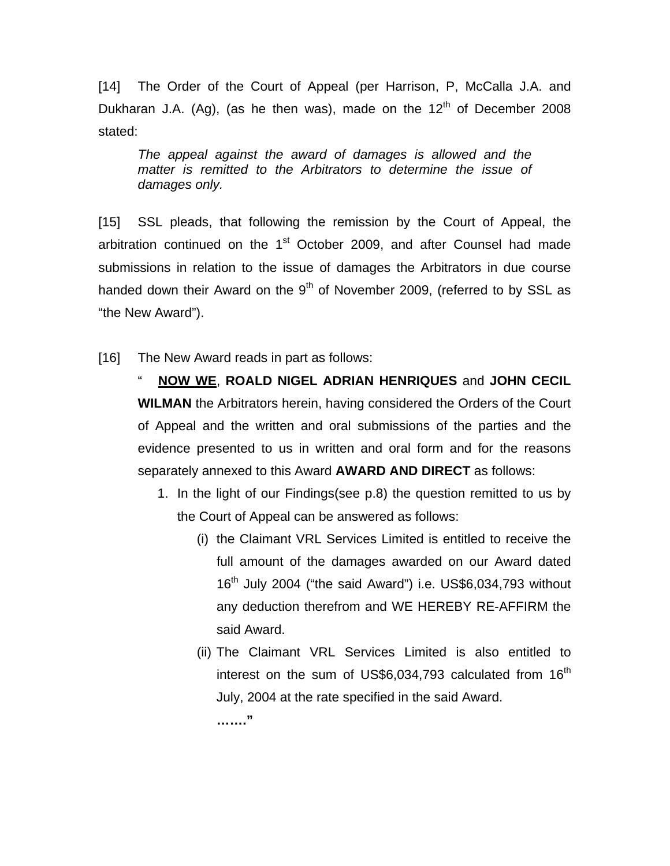[14] The Order of the Court of Appeal (per Harrison, P, McCalla J.A. and Dukharan J.A. (Ag), (as he then was), made on the  $12<sup>th</sup>$  of December 2008 stated:

*The appeal against the award of damages is allowed and the matter is remitted to the Arbitrators to determine the issue of damages only.*

[15] SSL pleads, that following the remission by the Court of Appeal, the arbitration continued on the  $1<sup>st</sup>$  October 2009, and after Counsel had made submissions in relation to the issue of damages the Arbitrators in due course handed down their Award on the  $9<sup>th</sup>$  of November 2009, (referred to by SSL as "the New Award").

[16] The New Award reads in part as follows:

" **NOW WE**, **ROALD NIGEL ADRIAN HENRIQUES** and **JOHN CECIL WILMAN** the Arbitrators herein, having considered the Orders of the Court of Appeal and the written and oral submissions of the parties and the evidence presented to us in written and oral form and for the reasons separately annexed to this Award **AWARD AND DIRECT** as follows:

- 1. In the light of our Findings(see p.8) the question remitted to us by the Court of Appeal can be answered as follows:
	- (i) the Claimant VRL Services Limited is entitled to receive the full amount of the damages awarded on our Award dated  $16<sup>th</sup>$  July 2004 ("the said Award") i.e. US\$6,034,793 without any deduction therefrom and WE HEREBY RE-AFFIRM the said Award.
	- (ii) The Claimant VRL Services Limited is also entitled to interest on the sum of US\$6,034,793 calculated from  $16<sup>th</sup>$ July, 2004 at the rate specified in the said Award. **……."**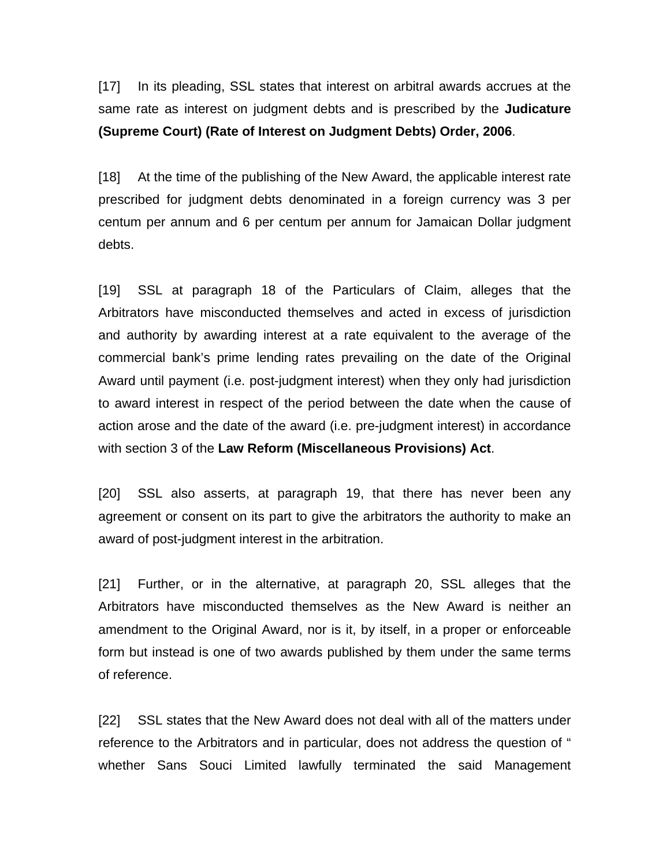[17] In its pleading, SSL states that interest on arbitral awards accrues at the same rate as interest on judgment debts and is prescribed by the **Judicature (Supreme Court) (Rate of Interest on Judgment Debts) Order, 2006**.

[18] At the time of the publishing of the New Award, the applicable interest rate prescribed for judgment debts denominated in a foreign currency was 3 per centum per annum and 6 per centum per annum for Jamaican Dollar judgment debts.

[19] SSL at paragraph 18 of the Particulars of Claim, alleges that the Arbitrators have misconducted themselves and acted in excess of jurisdiction and authority by awarding interest at a rate equivalent to the average of the commercial bank's prime lending rates prevailing on the date of the Original Award until payment (i.e. post-judgment interest) when they only had jurisdiction to award interest in respect of the period between the date when the cause of action arose and the date of the award (i.e. pre-judgment interest) in accordance with section 3 of the **Law Reform (Miscellaneous Provisions) Act**.

[20] SSL also asserts, at paragraph 19, that there has never been any agreement or consent on its part to give the arbitrators the authority to make an award of post-judgment interest in the arbitration.

[21] Further, or in the alternative, at paragraph 20, SSL alleges that the Arbitrators have misconducted themselves as the New Award is neither an amendment to the Original Award, nor is it, by itself, in a proper or enforceable form but instead is one of two awards published by them under the same terms of reference.

[22] SSL states that the New Award does not deal with all of the matters under reference to the Arbitrators and in particular, does not address the question of " whether Sans Souci Limited lawfully terminated the said Management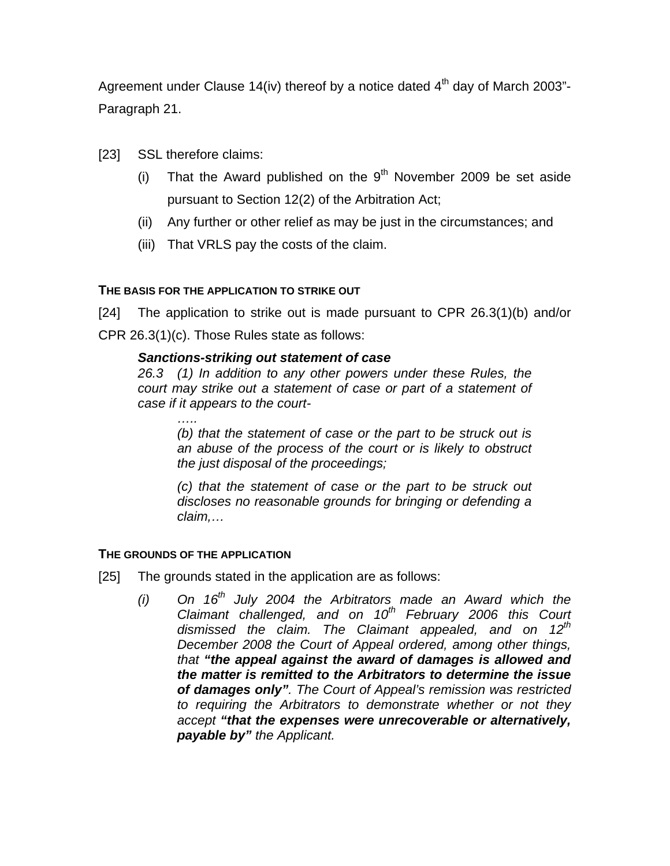Agreement under Clause 14(iv) thereof by a notice dated  $4<sup>th</sup>$  day of March 2003"-Paragraph 21.

- [23] SSL therefore claims:
	- (i) That the Award published on the  $9<sup>th</sup>$  November 2009 be set aside pursuant to Section 12(2) of the Arbitration Act;
	- (ii) Any further or other relief as may be just in the circumstances; and
	- (iii) That VRLS pay the costs of the claim.

## **THE BASIS FOR THE APPLICATION TO STRIKE OUT**

[24] The application to strike out is made pursuant to CPR 26.3(1)(b) and/or CPR 26.3(1)(c). Those Rules state as follows:

## *Sanctions-striking out statement of case*

*26.3 (1) In addition to any other powers under these Rules, the court may strike out a statement of case or part of a statement of case if it appears to the court-* 

*(b) that the statement of case or the part to be struck out is an abuse of the process of the court or is likely to obstruct the just disposal of the proceedings;* 

*(c) that the statement of case or the part to be struck out discloses no reasonable grounds for bringing or defending a claim,…*

### **THE GROUNDS OF THE APPLICATION**

- [25] The grounds stated in the application are as follows:
	- $(i)$  On 16<sup>th</sup> July 2004 the Arbitrators made an Award which the *Claimant challenged, and on 10th February 2006 this Court dismissed the claim. The Claimant appealed, and on 12th December 2008 the Court of Appeal ordered, among other things, that "the appeal against the award of damages is allowed and the matter is remitted to the Arbitrators to determine the issue of damages only". The Court of Appeal's remission was restricted to requiring the Arbitrators to demonstrate whether or not they accept "that the expenses were unrecoverable or alternatively, payable by" the Applicant.*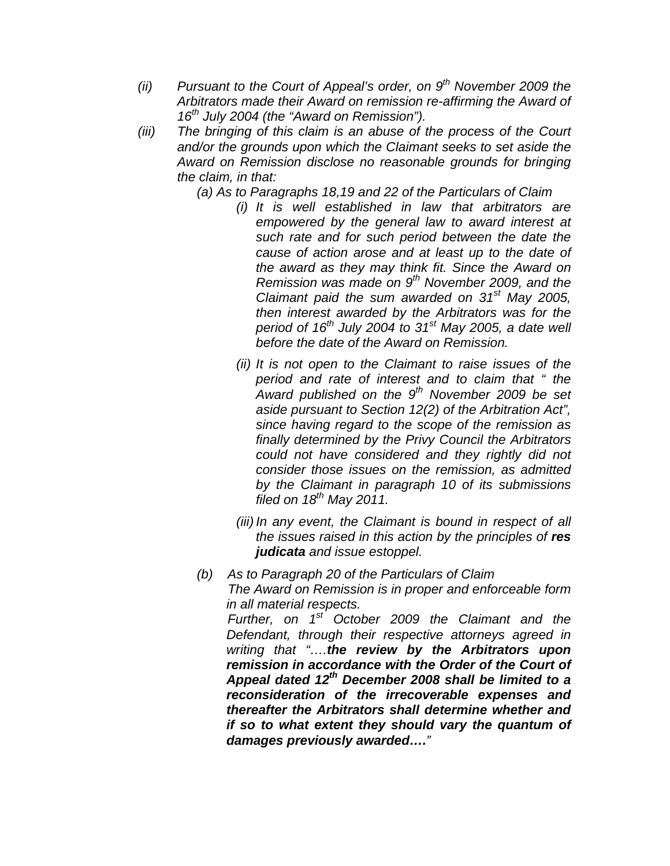- *(ii) Pursuant to the Court of Appeal's order, on 9th November 2009 the Arbitrators made their Award on remission re-affirming the Award of 16th July 2004 (the "Award on Remission").*
- *(iii) The bringing of this claim is an abuse of the process of the Court and/or the grounds upon which the Claimant seeks to set aside the Award on Remission disclose no reasonable grounds for bringing the claim, in that:*

*(a) As to Paragraphs 18,19 and 22 of the Particulars of Claim* 

- *(i) It is well established in law that arbitrators are empowered by the general law to award interest at such rate and for such period between the date the cause of action arose and at least up to the date of the award as they may think fit. Since the Award on Remission was made on 9th November 2009, and the Claimant paid the sum awarded on 31st May 2005, then interest awarded by the Arbitrators was for the period of 16th July 2004 to 31st May 2005, a date well before the date of the Award on Remission.*
- *(ii) It is not open to the Claimant to raise issues of the period and rate of interest and to claim that " the Award published on the 9th November 2009 be set aside pursuant to Section 12(2) of the Arbitration Act", since having regard to the scope of the remission as finally determined by the Privy Council the Arbitrators could not have considered and they rightly did not consider those issues on the remission, as admitted by the Claimant in paragraph 10 of its submissions filed on 18th May 2011.*
- *(iii) In any event, the Claimant is bound in respect of all the issues raised in this action by the principles of res judicata and issue estoppel.*
- *(b) As to Paragraph 20 of the Particulars of Claim The Award on Remission is in proper and enforceable form in all material respects. Further, on 1st October 2009 the Claimant and the*

*Defendant, through their respective attorneys agreed in writing that "….the review by the Arbitrators upon remission in accordance with the Order of the Court of Appeal dated 12th December 2008 shall be limited to a reconsideration of the irrecoverable expenses and thereafter the Arbitrators shall determine whether and if so to what extent they should vary the quantum of damages previously awarded…."*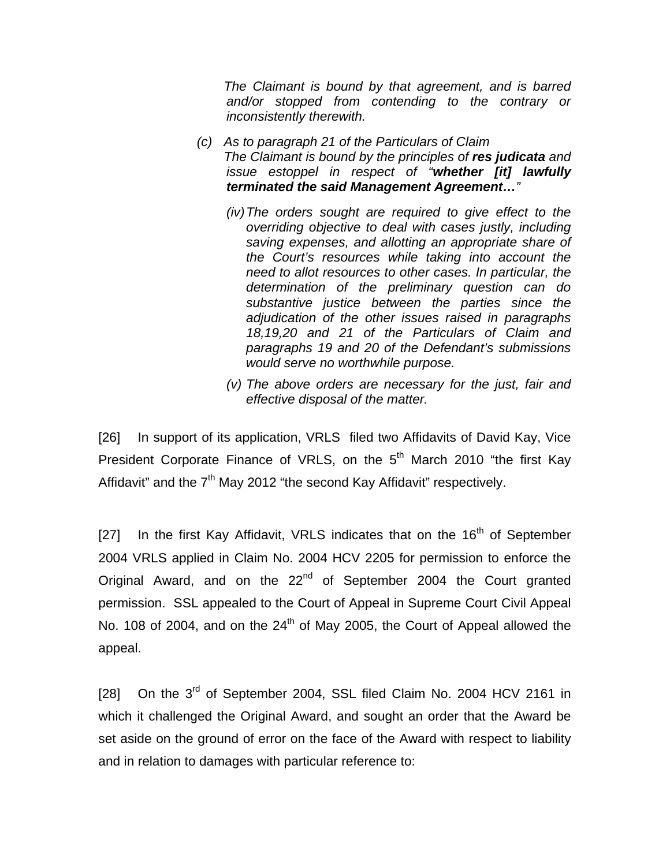*The Claimant is bound by that agreement, and is barred and/or stopped from contending to the contrary or inconsistently therewith.* 

- *(c) As to paragraph 21 of the Particulars of Claim The Claimant is bound by the principles of res judicata and issue estoppel in respect of "whether [it] lawfully terminated the said Management Agreement…"* 
	- *(iv) The orders sought are required to give effect to the overriding objective to deal with cases justly, including saving expenses, and allotting an appropriate share of the Court's resources while taking into account the need to allot resources to other cases. In particular, the determination of the preliminary question can do substantive justice between the parties since the adjudication of the other issues raised in paragraphs 18,19,20 and 21 of the Particulars of Claim and paragraphs 19 and 20 of the Defendant's submissions would serve no worthwhile purpose.*
	- *(v) The above orders are necessary for the just, fair and effective disposal of the matter.*

[26] In support of its application, VRLS filed two Affidavits of David Kay, Vice President Corporate Finance of VRLS, on the 5<sup>th</sup> March 2010 "the first Kay Affidavit" and the  $7<sup>th</sup>$  May 2012 "the second Kay Affidavit" respectively.

[27] In the first Kay Affidavit, VRLS indicates that on the 16<sup>th</sup> of September 2004 VRLS applied in Claim No. 2004 HCV 2205 for permission to enforce the Original Award, and on the 22<sup>nd</sup> of September 2004 the Court granted permission. SSL appealed to the Court of Appeal in Supreme Court Civil Appeal No. 108 of 2004, and on the  $24<sup>th</sup>$  of May 2005, the Court of Appeal allowed the appeal.

[28] On the 3<sup>rd</sup> of September 2004, SSL filed Claim No. 2004 HCV 2161 in which it challenged the Original Award, and sought an order that the Award be set aside on the ground of error on the face of the Award with respect to liability and in relation to damages with particular reference to: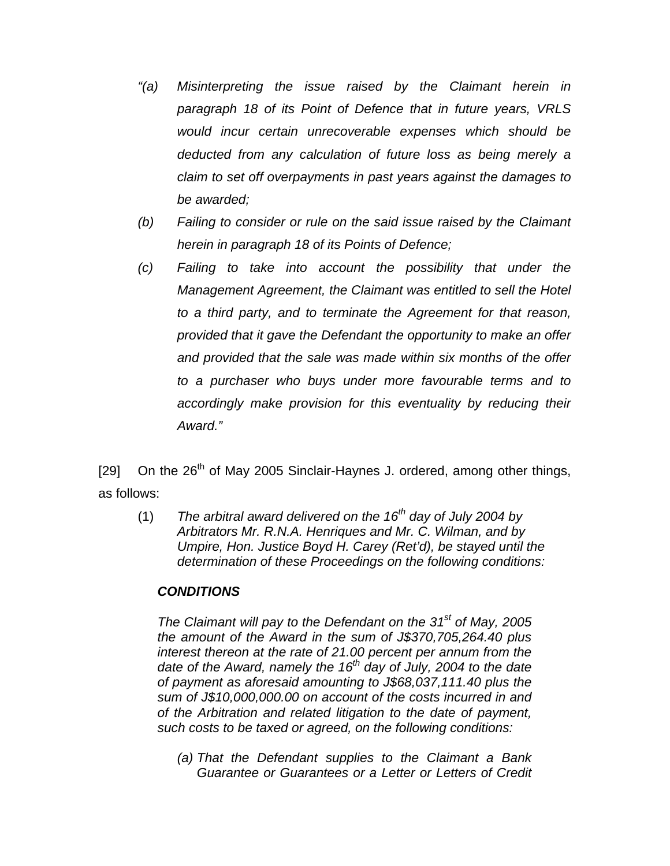- *"(a) Misinterpreting the issue raised by the Claimant herein in paragraph 18 of its Point of Defence that in future years, VRLS would incur certain unrecoverable expenses which should be deducted from any calculation of future loss as being merely a claim to set off overpayments in past years against the damages to be awarded;*
- *(b) Failing to consider or rule on the said issue raised by the Claimant herein in paragraph 18 of its Points of Defence;*
- *(c) Failing to take into account the possibility that under the Management Agreement, the Claimant was entitled to sell the Hotel to a third party, and to terminate the Agreement for that reason, provided that it gave the Defendant the opportunity to make an offer and provided that the sale was made within six months of the offer to a purchaser who buys under more favourable terms and to accordingly make provision for this eventuality by reducing their Award."*

[29] On the  $26<sup>th</sup>$  of May 2005 Sinclair-Haynes J. ordered, among other things, as follows:

(1) *The arbitral award delivered on the 16th day of July 2004 by Arbitrators Mr. R.N.A. Henriques and Mr. C. Wilman, and by Umpire, Hon. Justice Boyd H. Carey (Ret'd), be stayed until the determination of these Proceedings on the following conditions:* 

### *CONDITIONS*

*The Claimant will pay to the Defendant on the 31st of May, 2005 the amount of the Award in the sum of J\$370,705,264.40 plus interest thereon at the rate of 21.00 percent per annum from the*  date of the Award, namely the 16<sup>th</sup> day of July, 2004 to the date *of payment as aforesaid amounting to J\$68,037,111.40 plus the sum of J\$10,000,000.00 on account of the costs incurred in and of the Arbitration and related litigation to the date of payment, such costs to be taxed or agreed, on the following conditions:* 

*(a) That the Defendant supplies to the Claimant a Bank Guarantee or Guarantees or a Letter or Letters of Credit*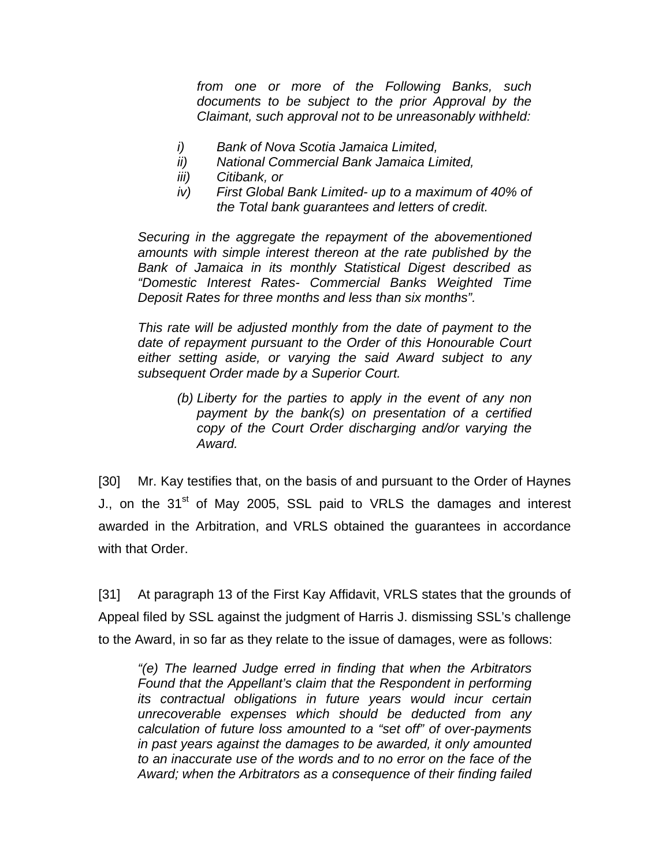*from one or more of the Following Banks, such documents to be subject to the prior Approval by the Claimant, such approval not to be unreasonably withheld:* 

- *i) Bank of Nova Scotia Jamaica Limited,*
- *ii) National Commercial Bank Jamaica Limited,*
- *iii) Citibank, or*
- *iv) First Global Bank Limited- up to a maximum of 40% of the Total bank guarantees and letters of credit.*

*Securing in the aggregate the repayment of the abovementioned amounts with simple interest thereon at the rate published by the Bank of Jamaica in its monthly Statistical Digest described as "Domestic Interest Rates- Commercial Banks Weighted Time Deposit Rates for three months and less than six months".* 

*This rate will be adjusted monthly from the date of payment to the date of repayment pursuant to the Order of this Honourable Court either setting aside, or varying the said Award subject to any subsequent Order made by a Superior Court.* 

*(b) Liberty for the parties to apply in the event of any non payment by the bank(s) on presentation of a certified copy of the Court Order discharging and/or varying the Award.* 

[30] Mr. Kay testifies that, on the basis of and pursuant to the Order of Haynes J., on the 31<sup>st</sup> of May 2005, SSL paid to VRLS the damages and interest awarded in the Arbitration, and VRLS obtained the guarantees in accordance with that Order.

[31] At paragraph 13 of the First Kay Affidavit, VRLS states that the grounds of Appeal filed by SSL against the judgment of Harris J. dismissing SSL's challenge to the Award, in so far as they relate to the issue of damages, were as follows:

*"(e) The learned Judge erred in finding that when the Arbitrators Found that the Appellant's claim that the Respondent in performing its contractual obligations in future years would incur certain unrecoverable expenses which should be deducted from any calculation of future loss amounted to a "set off" of over-payments in past years against the damages to be awarded, it only amounted to an inaccurate use of the words and to no error on the face of the Award; when the Arbitrators as a consequence of their finding failed*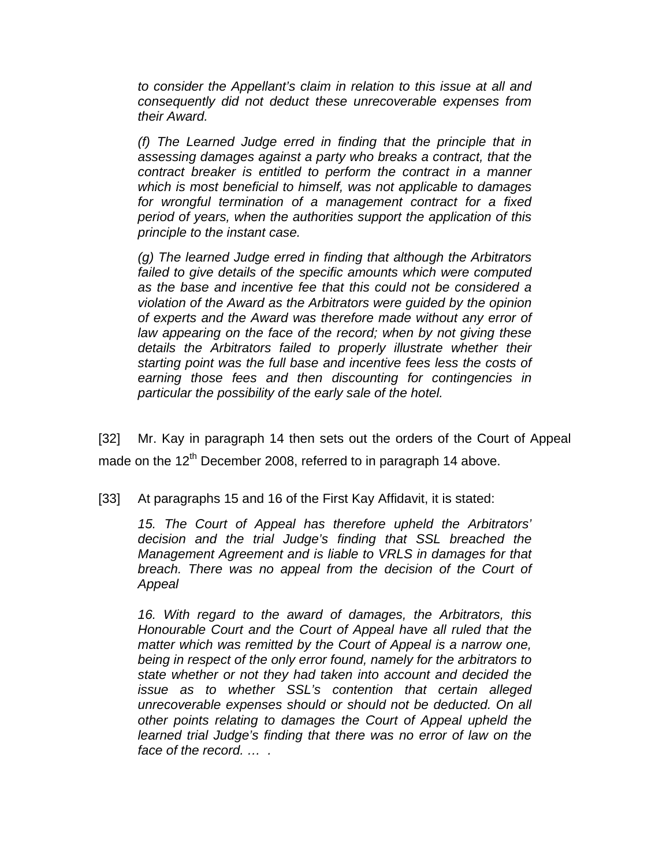*to consider the Appellant's claim in relation to this issue at all and consequently did not deduct these unrecoverable expenses from their Award.* 

*(f) The Learned Judge erred in finding that the principle that in assessing damages against a party who breaks a contract, that the contract breaker is entitled to perform the contract in a manner which is most beneficial to himself, was not applicable to damages for wrongful termination of a management contract for a fixed period of years, when the authorities support the application of this principle to the instant case.* 

*(g) The learned Judge erred in finding that although the Arbitrators failed to give details of the specific amounts which were computed as the base and incentive fee that this could not be considered a violation of the Award as the Arbitrators were guided by the opinion of experts and the Award was therefore made without any error of law appearing on the face of the record; when by not giving these details the Arbitrators failed to properly illustrate whether their starting point was the full base and incentive fees less the costs of earning those fees and then discounting for contingencies in particular the possibility of the early sale of the hotel.* 

[32] Mr. Kay in paragraph 14 then sets out the orders of the Court of Appeal made on the  $12<sup>th</sup>$  December 2008, referred to in paragraph 14 above.

[33] At paragraphs 15 and 16 of the First Kay Affidavit, it is stated:

*15. The Court of Appeal has therefore upheld the Arbitrators' decision and the trial Judge's finding that SSL breached the Management Agreement and is liable to VRLS in damages for that breach. There was no appeal from the decision of the Court of Appeal* 

*16. With regard to the award of damages, the Arbitrators, this Honourable Court and the Court of Appeal have all ruled that the matter which was remitted by the Court of Appeal is a narrow one, being in respect of the only error found, namely for the arbitrators to state whether or not they had taken into account and decided the issue as to whether SSL's contention that certain alleged unrecoverable expenses should or should not be deducted. On all other points relating to damages the Court of Appeal upheld the learned trial Judge's finding that there was no error of law on the face of the record. … .*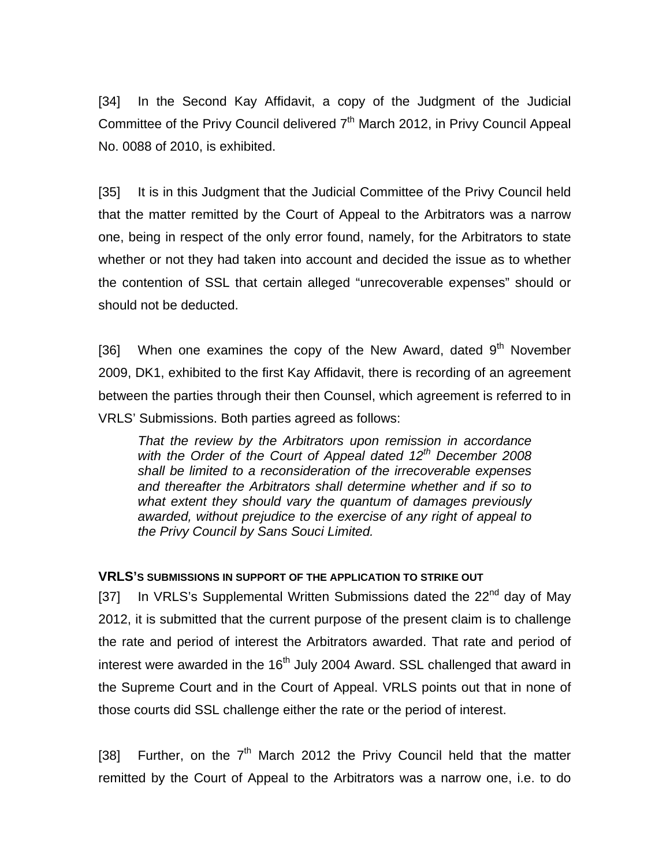[34] In the Second Kay Affidavit, a copy of the Judgment of the Judicial Committee of the Privy Council delivered 7<sup>th</sup> March 2012, in Privy Council Appeal No. 0088 of 2010, is exhibited.

[35] It is in this Judgment that the Judicial Committee of the Privy Council held that the matter remitted by the Court of Appeal to the Arbitrators was a narrow one, being in respect of the only error found, namely, for the Arbitrators to state whether or not they had taken into account and decided the issue as to whether the contention of SSL that certain alleged "unrecoverable expenses" should or should not be deducted.

[36] When one examines the copy of the New Award, dated  $9<sup>th</sup>$  November 2009, DK1, exhibited to the first Kay Affidavit, there is recording of an agreement between the parties through their then Counsel, which agreement is referred to in VRLS' Submissions. Both parties agreed as follows:

*That the review by the Arbitrators upon remission in accordance*  with the Order of the Court of Appeal dated 12<sup>th</sup> December 2008 *shall be limited to a reconsideration of the irrecoverable expenses and thereafter the Arbitrators shall determine whether and if so to what extent they should vary the quantum of damages previously awarded, without prejudice to the exercise of any right of appeal to the Privy Council by Sans Souci Limited.* 

#### **VRLS'S SUBMISSIONS IN SUPPORT OF THE APPLICATION TO STRIKE OUT**

[37] In VRLS's Supplemental Written Submissions dated the  $22^{nd}$  day of May 2012, it is submitted that the current purpose of the present claim is to challenge the rate and period of interest the Arbitrators awarded. That rate and period of interest were awarded in the 16<sup>th</sup> July 2004 Award. SSL challenged that award in the Supreme Court and in the Court of Appeal. VRLS points out that in none of those courts did SSL challenge either the rate or the period of interest.

[38] Further, on the  $7<sup>th</sup>$  March 2012 the Privy Council held that the matter remitted by the Court of Appeal to the Arbitrators was a narrow one, i.e. to do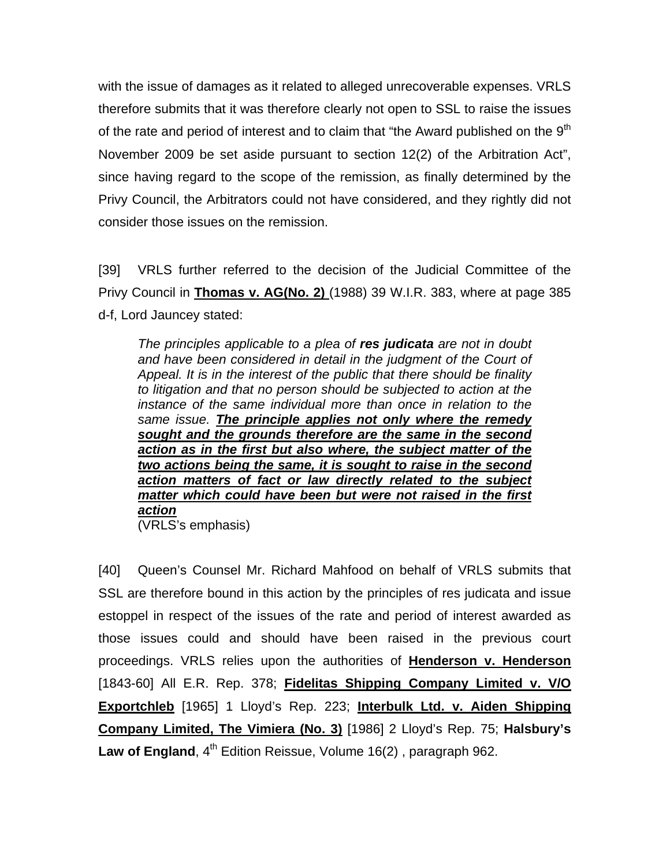with the issue of damages as it related to alleged unrecoverable expenses. VRLS therefore submits that it was therefore clearly not open to SSL to raise the issues of the rate and period of interest and to claim that "the Award published on the  $9<sup>tn</sup>$ November 2009 be set aside pursuant to section 12(2) of the Arbitration Act", since having regard to the scope of the remission, as finally determined by the Privy Council, the Arbitrators could not have considered, and they rightly did not consider those issues on the remission.

[39] VRLS further referred to the decision of the Judicial Committee of the Privy Council in **Thomas v. AG(No. 2)** (1988) 39 W.I.R. 383, where at page 385 d-f, Lord Jauncey stated:

*The principles applicable to a plea of res judicata are not in doubt*  and have been considered in detail in the judgment of the Court of *Appeal. It is in the interest of the public that there should be finality to litigation and that no person should be subjected to action at the instance of the same individual more than once in relation to the same issue. The principle applies not only where the remedy sought and the grounds therefore are the same in the second action as in the first but also where, the subject matter of the two actions being the same, it is sought to raise in the second action matters of fact or law directly related to the subject matter which could have been but were not raised in the first action* 

(VRLS's emphasis)

[40] Queen's Counsel Mr. Richard Mahfood on behalf of VRLS submits that SSL are therefore bound in this action by the principles of res judicata and issue estoppel in respect of the issues of the rate and period of interest awarded as those issues could and should have been raised in the previous court proceedings. VRLS relies upon the authorities of **Henderson v. Henderson**  [1843-60] All E.R. Rep. 378; **Fidelitas Shipping Company Limited v. V/O Exportchleb** [1965] 1 Lloyd's Rep. 223; **Interbulk Ltd. v. Aiden Shipping Company Limited, The Vimiera (No. 3)** [1986] 2 Lloyd's Rep. 75; **Halsbury's**  Law of England, 4<sup>th</sup> Edition Reissue, Volume 16(2), paragraph 962.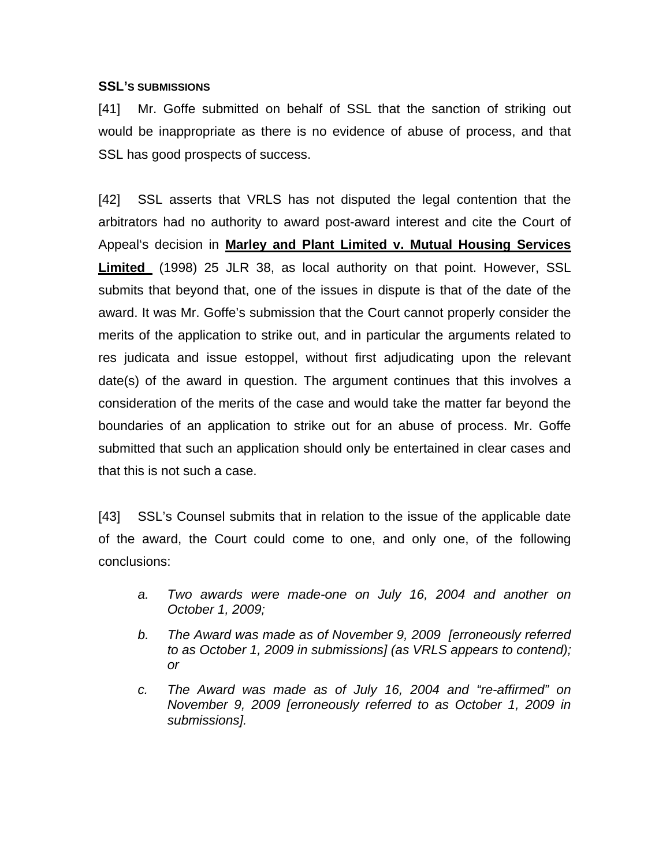#### **SSL'S SUBMISSIONS**

[41] Mr. Goffe submitted on behalf of SSL that the sanction of striking out would be inappropriate as there is no evidence of abuse of process, and that SSL has good prospects of success.

[42] SSL asserts that VRLS has not disputed the legal contention that the arbitrators had no authority to award post-award interest and cite the Court of Appeal's decision in **Marley and Plant Limited v. Mutual Housing Services Limited** (1998) 25 JLR 38, as local authority on that point. However, SSL submits that beyond that, one of the issues in dispute is that of the date of the award. It was Mr. Goffe's submission that the Court cannot properly consider the merits of the application to strike out, and in particular the arguments related to res judicata and issue estoppel, without first adjudicating upon the relevant date(s) of the award in question. The argument continues that this involves a consideration of the merits of the case and would take the matter far beyond the boundaries of an application to strike out for an abuse of process. Mr. Goffe submitted that such an application should only be entertained in clear cases and that this is not such a case.

[43] SSL's Counsel submits that in relation to the issue of the applicable date of the award, the Court could come to one, and only one, of the following conclusions:

- *a. Two awards were made-one on July 16, 2004 and another on October 1, 2009;*
- *b. The Award was made as of November 9, 2009 [erroneously referred to as October 1, 2009 in submissions] (as VRLS appears to contend); or*
- *c. The Award was made as of July 16, 2004 and "re-affirmed" on November 9, 2009 [erroneously referred to as October 1, 2009 in submissions].*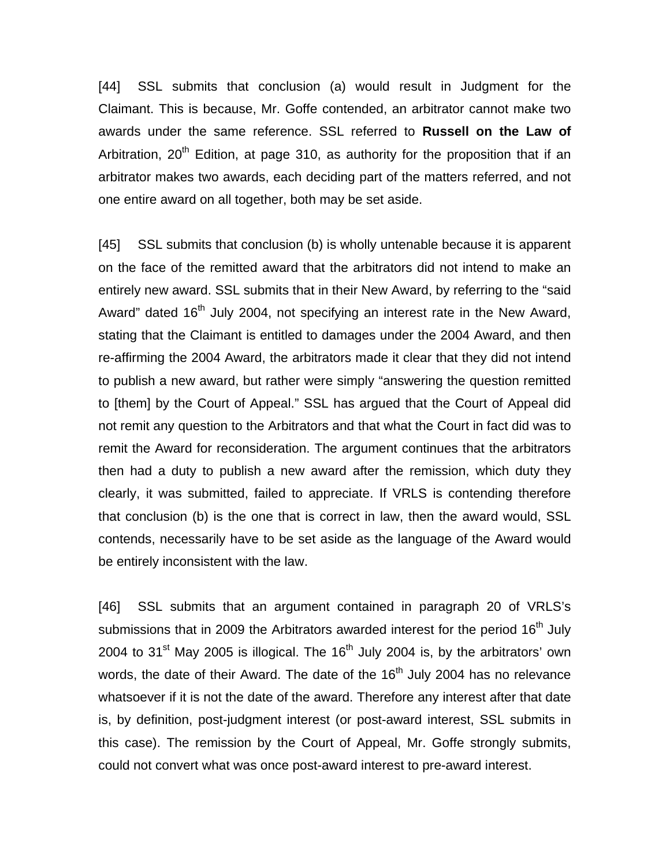[44] SSL submits that conclusion (a) would result in Judgment for the Claimant. This is because, Mr. Goffe contended, an arbitrator cannot make two awards under the same reference. SSL referred to **Russell on the Law of**  Arbitration,  $20<sup>th</sup>$  Edition, at page 310, as authority for the proposition that if an arbitrator makes two awards, each deciding part of the matters referred, and not one entire award on all together, both may be set aside.

[45] SSL submits that conclusion (b) is wholly untenable because it is apparent on the face of the remitted award that the arbitrators did not intend to make an entirely new award. SSL submits that in their New Award, by referring to the "said Award" dated 16<sup>th</sup> July 2004, not specifying an interest rate in the New Award, stating that the Claimant is entitled to damages under the 2004 Award, and then re-affirming the 2004 Award, the arbitrators made it clear that they did not intend to publish a new award, but rather were simply "answering the question remitted to [them] by the Court of Appeal." SSL has argued that the Court of Appeal did not remit any question to the Arbitrators and that what the Court in fact did was to remit the Award for reconsideration. The argument continues that the arbitrators then had a duty to publish a new award after the remission, which duty they clearly, it was submitted, failed to appreciate. If VRLS is contending therefore that conclusion (b) is the one that is correct in law, then the award would, SSL contends, necessarily have to be set aside as the language of the Award would be entirely inconsistent with the law.

[46] SSL submits that an argument contained in paragraph 20 of VRLS's submissions that in 2009 the Arbitrators awarded interest for the period  $16<sup>th</sup>$  July 2004 to  $31<sup>st</sup>$  May 2005 is illogical. The  $16<sup>th</sup>$  July 2004 is, by the arbitrators' own words, the date of their Award. The date of the  $16<sup>th</sup>$  July 2004 has no relevance whatsoever if it is not the date of the award. Therefore any interest after that date is, by definition, post-judgment interest (or post-award interest, SSL submits in this case). The remission by the Court of Appeal, Mr. Goffe strongly submits, could not convert what was once post-award interest to pre-award interest.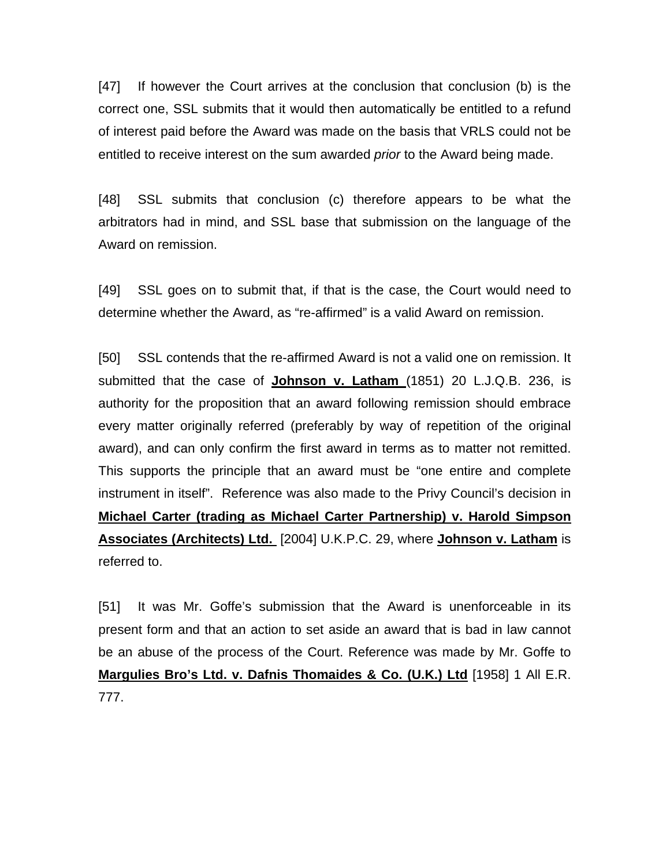[47] If however the Court arrives at the conclusion that conclusion (b) is the correct one, SSL submits that it would then automatically be entitled to a refund of interest paid before the Award was made on the basis that VRLS could not be entitled to receive interest on the sum awarded *prior* to the Award being made.

[48] SSL submits that conclusion (c) therefore appears to be what the arbitrators had in mind, and SSL base that submission on the language of the Award on remission.

[49] SSL goes on to submit that, if that is the case, the Court would need to determine whether the Award, as "re-affirmed" is a valid Award on remission.

[50] SSL contends that the re-affirmed Award is not a valid one on remission. It submitted that the case of **Johnson v. Latham** (1851) 20 L.J.Q.B. 236, is authority for the proposition that an award following remission should embrace every matter originally referred (preferably by way of repetition of the original award), and can only confirm the first award in terms as to matter not remitted. This supports the principle that an award must be "one entire and complete instrument in itself". Reference was also made to the Privy Council's decision in **Michael Carter (trading as Michael Carter Partnership) v. Harold Simpson Associates (Architects) Ltd.** [2004] U.K.P.C. 29, where **Johnson v. Latham** is referred to.

[51] It was Mr. Goffe's submission that the Award is unenforceable in its present form and that an action to set aside an award that is bad in law cannot be an abuse of the process of the Court. Reference was made by Mr. Goffe to **Margulies Bro's Ltd. v. Dafnis Thomaides & Co. (U.K.) Ltd** [1958] 1 All E.R. 777.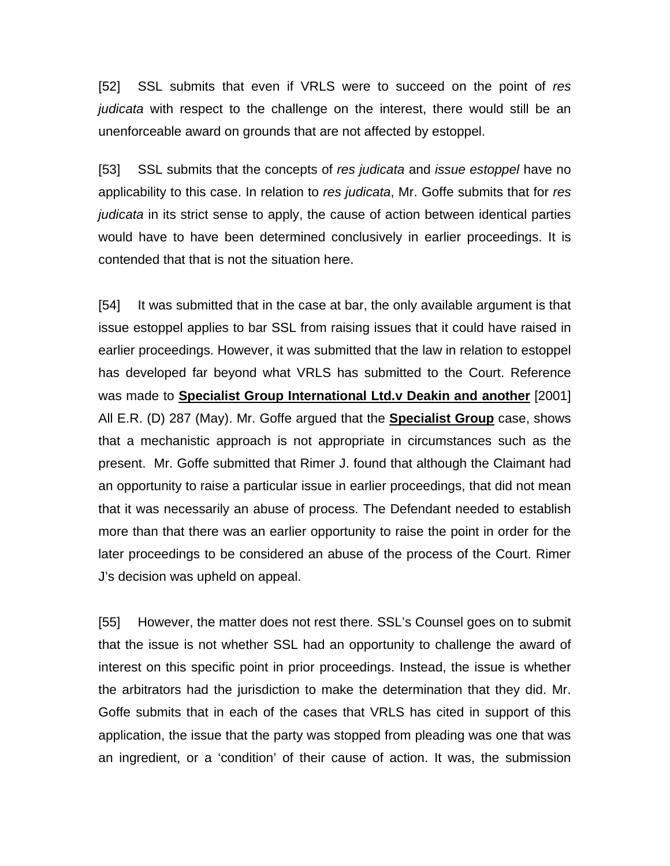[52] SSL submits that even if VRLS were to succeed on the point of *res judicata* with respect to the challenge on the interest, there would still be an unenforceable award on grounds that are not affected by estoppel.

[53] SSL submits that the concepts of *res judicata* and *issue estoppel* have no applicability to this case. In relation to *res judicata*, Mr. Goffe submits that for *res judicata* in its strict sense to apply, the cause of action between identical parties would have to have been determined conclusively in earlier proceedings. It is contended that that is not the situation here.

[54] It was submitted that in the case at bar, the only available argument is that issue estoppel applies to bar SSL from raising issues that it could have raised in earlier proceedings. However, it was submitted that the law in relation to estoppel has developed far beyond what VRLS has submitted to the Court. Reference was made to **Specialist Group International Ltd.v Deakin and another** [2001] All E.R. (D) 287 (May). Mr. Goffe argued that the **Specialist Group** case, shows that a mechanistic approach is not appropriate in circumstances such as the present. Mr. Goffe submitted that Rimer J. found that although the Claimant had an opportunity to raise a particular issue in earlier proceedings, that did not mean that it was necessarily an abuse of process. The Defendant needed to establish more than that there was an earlier opportunity to raise the point in order for the later proceedings to be considered an abuse of the process of the Court. Rimer J's decision was upheld on appeal.

[55] However, the matter does not rest there. SSL's Counsel goes on to submit that the issue is not whether SSL had an opportunity to challenge the award of interest on this specific point in prior proceedings. Instead, the issue is whether the arbitrators had the jurisdiction to make the determination that they did. Mr. Goffe submits that in each of the cases that VRLS has cited in support of this application, the issue that the party was stopped from pleading was one that was an ingredient, or a 'condition' of their cause of action. It was, the submission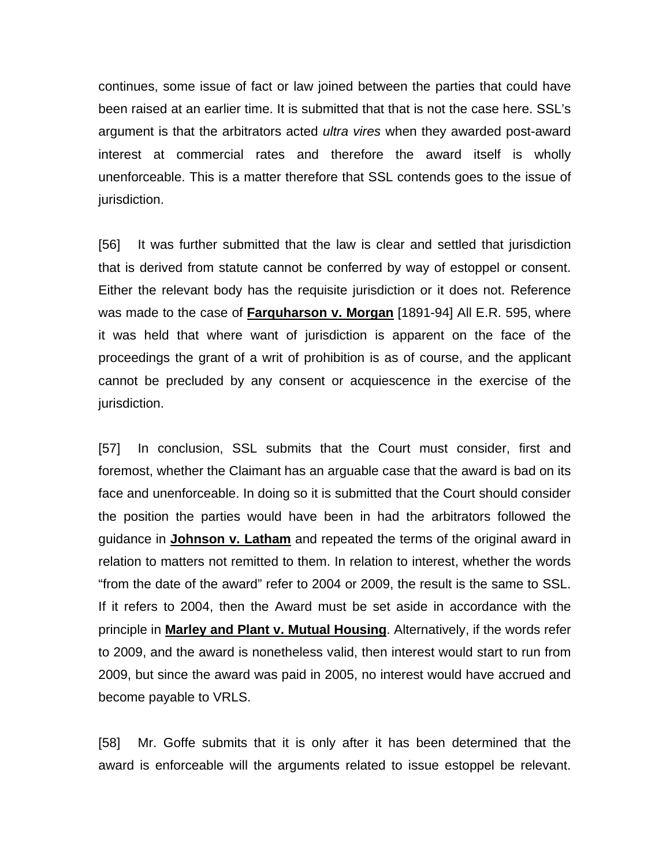continues, some issue of fact or law joined between the parties that could have been raised at an earlier time. It is submitted that that is not the case here. SSL's argument is that the arbitrators acted *ultra vires* when they awarded post-award interest at commercial rates and therefore the award itself is wholly unenforceable. This is a matter therefore that SSL contends goes to the issue of jurisdiction.

[56] It was further submitted that the law is clear and settled that jurisdiction that is derived from statute cannot be conferred by way of estoppel or consent. Either the relevant body has the requisite jurisdiction or it does not. Reference was made to the case of **Farquharson v. Morgan** [1891-94] All E.R. 595, where it was held that where want of jurisdiction is apparent on the face of the proceedings the grant of a writ of prohibition is as of course, and the applicant cannot be precluded by any consent or acquiescence in the exercise of the jurisdiction.

[57] In conclusion, SSL submits that the Court must consider, first and foremost, whether the Claimant has an arguable case that the award is bad on its face and unenforceable. In doing so it is submitted that the Court should consider the position the parties would have been in had the arbitrators followed the guidance in **Johnson v. Latham** and repeated the terms of the original award in relation to matters not remitted to them. In relation to interest, whether the words "from the date of the award" refer to 2004 or 2009, the result is the same to SSL. If it refers to 2004, then the Award must be set aside in accordance with the principle in **Marley and Plant v. Mutual Housing**. Alternatively, if the words refer to 2009, and the award is nonetheless valid, then interest would start to run from 2009, but since the award was paid in 2005, no interest would have accrued and become payable to VRLS.

[58] Mr. Goffe submits that it is only after it has been determined that the award is enforceable will the arguments related to issue estoppel be relevant.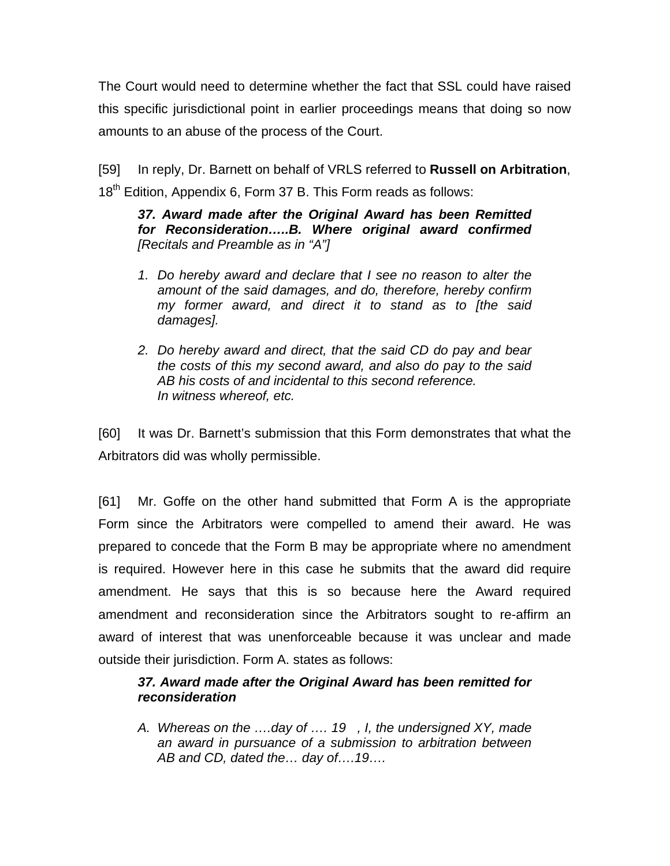The Court would need to determine whether the fact that SSL could have raised this specific jurisdictional point in earlier proceedings means that doing so now amounts to an abuse of the process of the Court.

[59] In reply, Dr. Barnett on behalf of VRLS referred to **Russell on Arbitration**, 18<sup>th</sup> Edition, Appendix 6, Form 37 B. This Form reads as follows:

*37. Award made after the Original Award has been Remitted for Reconsideration…..B. Where original award confirmed [Recitals and Preamble as in "A"]*

- *1. Do hereby award and declare that I see no reason to alter the amount of the said damages, and do, therefore, hereby confirm my former award, and direct it to stand as to [the said damages].*
- *2. Do hereby award and direct, that the said CD do pay and bear the costs of this my second award, and also do pay to the said AB his costs of and incidental to this second reference. In witness whereof, etc.*

[60] It was Dr. Barnett's submission that this Form demonstrates that what the Arbitrators did was wholly permissible.

[61] Mr. Goffe on the other hand submitted that Form A is the appropriate Form since the Arbitrators were compelled to amend their award. He was prepared to concede that the Form B may be appropriate where no amendment is required. However here in this case he submits that the award did require amendment. He says that this is so because here the Award required amendment and reconsideration since the Arbitrators sought to re-affirm an award of interest that was unenforceable because it was unclear and made outside their jurisdiction. Form A. states as follows:

## *37. Award made after the Original Award has been remitted for reconsideration*

*A. Whereas on the ….day of …. 19 , I, the undersigned XY, made an award in pursuance of a submission to arbitration between AB and CD, dated the… day of….19….*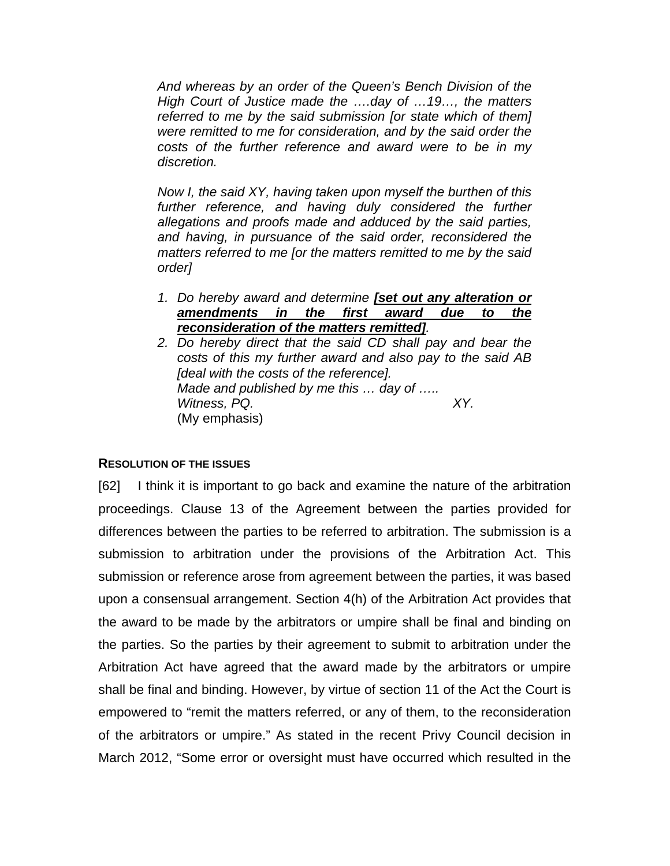*And whereas by an order of the Queen's Bench Division of the High Court of Justice made the ….day of …19…, the matters referred to me by the said submission [or state which of them] were remitted to me for consideration, and by the said order the costs of the further reference and award were to be in my discretion.* 

*Now I, the said XY, having taken upon myself the burthen of this*  further reference, and having duly considered the further *allegations and proofs made and adduced by the said parties, and having, in pursuance of the said order, reconsidered the matters referred to me [or the matters remitted to me by the said order]* 

- *1. Do hereby award and determine [set out any alteration or amendments in the first award due to the reconsideration of the matters remitted].*
- *2. Do hereby direct that the said CD shall pay and bear the costs of this my further award and also pay to the said AB [deal with the costs of the reference]. Made and published by me this … day of ….. Witness, PQ. XY.*  (My emphasis)

#### **RESOLUTION OF THE ISSUES**

[62] I think it is important to go back and examine the nature of the arbitration proceedings. Clause 13 of the Agreement between the parties provided for differences between the parties to be referred to arbitration. The submission is a submission to arbitration under the provisions of the Arbitration Act. This submission or reference arose from agreement between the parties, it was based upon a consensual arrangement. Section 4(h) of the Arbitration Act provides that the award to be made by the arbitrators or umpire shall be final and binding on the parties. So the parties by their agreement to submit to arbitration under the Arbitration Act have agreed that the award made by the arbitrators or umpire shall be final and binding. However, by virtue of section 11 of the Act the Court is empowered to "remit the matters referred, or any of them, to the reconsideration of the arbitrators or umpire." As stated in the recent Privy Council decision in March 2012, "Some error or oversight must have occurred which resulted in the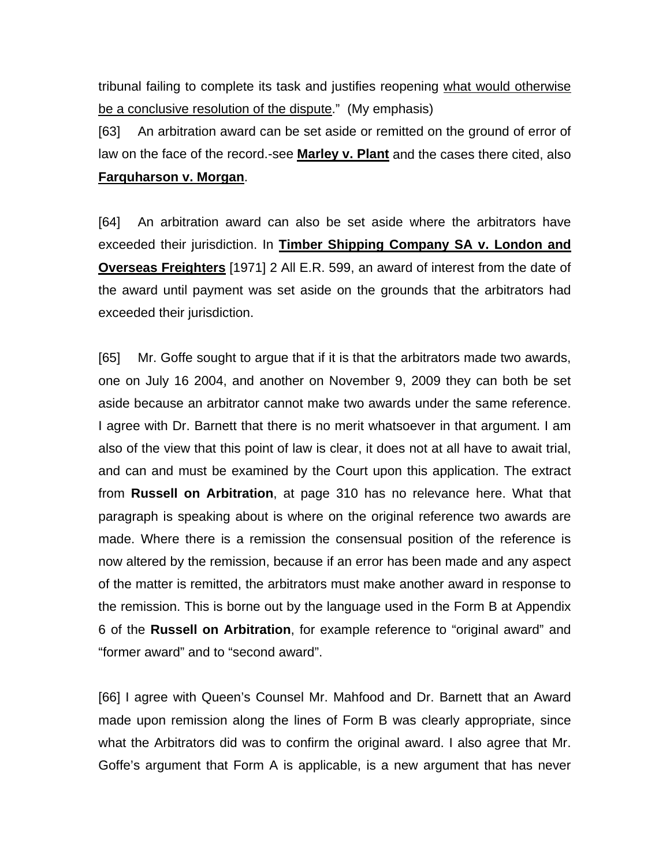tribunal failing to complete its task and justifies reopening what would otherwise be a conclusive resolution of the dispute." (My emphasis)

[63] An arbitration award can be set aside or remitted on the ground of error of law on the face of the record.-see **Marley v. Plant** and the cases there cited, also **Farquharson v. Morgan**.

[64] An arbitration award can also be set aside where the arbitrators have exceeded their jurisdiction. In **Timber Shipping Company SA v. London and Overseas Freighters** [1971] 2 All E.R. 599, an award of interest from the date of the award until payment was set aside on the grounds that the arbitrators had exceeded their jurisdiction.

[65] Mr. Goffe sought to argue that if it is that the arbitrators made two awards, one on July 16 2004, and another on November 9, 2009 they can both be set aside because an arbitrator cannot make two awards under the same reference. I agree with Dr. Barnett that there is no merit whatsoever in that argument. I am also of the view that this point of law is clear, it does not at all have to await trial, and can and must be examined by the Court upon this application. The extract from **Russell on Arbitration**, at page 310 has no relevance here. What that paragraph is speaking about is where on the original reference two awards are made. Where there is a remission the consensual position of the reference is now altered by the remission, because if an error has been made and any aspect of the matter is remitted, the arbitrators must make another award in response to the remission. This is borne out by the language used in the Form B at Appendix 6 of the **Russell on Arbitration**, for example reference to "original award" and "former award" and to "second award".

[66] I agree with Queen's Counsel Mr. Mahfood and Dr. Barnett that an Award made upon remission along the lines of Form B was clearly appropriate, since what the Arbitrators did was to confirm the original award. I also agree that Mr. Goffe's argument that Form A is applicable, is a new argument that has never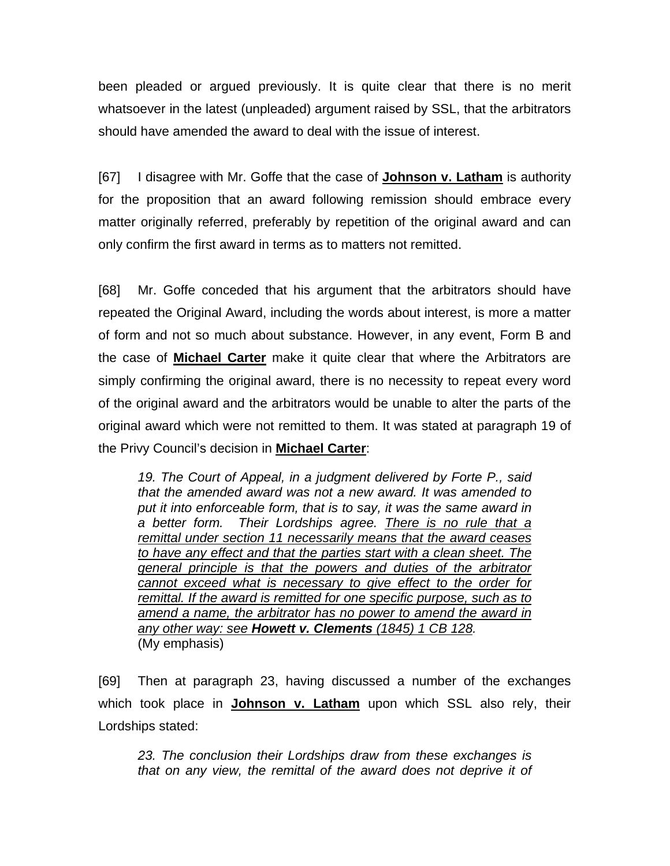been pleaded or argued previously. It is quite clear that there is no merit whatsoever in the latest (unpleaded) argument raised by SSL, that the arbitrators should have amended the award to deal with the issue of interest.

[67] I disagree with Mr. Goffe that the case of **Johnson v. Latham** is authority for the proposition that an award following remission should embrace every matter originally referred, preferably by repetition of the original award and can only confirm the first award in terms as to matters not remitted.

[68] Mr. Goffe conceded that his argument that the arbitrators should have repeated the Original Award, including the words about interest, is more a matter of form and not so much about substance. However, in any event, Form B and the case of **Michael Carter** make it quite clear that where the Arbitrators are simply confirming the original award, there is no necessity to repeat every word of the original award and the arbitrators would be unable to alter the parts of the original award which were not remitted to them. It was stated at paragraph 19 of the Privy Council's decision in **Michael Carter**:

*19. The Court of Appeal, in a judgment delivered by Forte P., said that the amended award was not a new award. It was amended to put it into enforceable form, that is to say, it was the same award in a better form. Their Lordships agree. There is no rule that a remittal under section 11 necessarily means that the award ceases to have any effect and that the parties start with a clean sheet. The general principle is that the powers and duties of the arbitrator cannot exceed what is necessary to give effect to the order for remittal. If the award is remitted for one specific purpose, such as to amend a name, the arbitrator has no power to amend the award in any other way: see Howett v. Clements (1845) 1 CB 128.*  (My emphasis)

[69] Then at paragraph 23, having discussed a number of the exchanges which took place in **Johnson v. Latham** upon which SSL also rely, their Lordships stated:

*23. The conclusion their Lordships draw from these exchanges is that on any view, the remittal of the award does not deprive it of*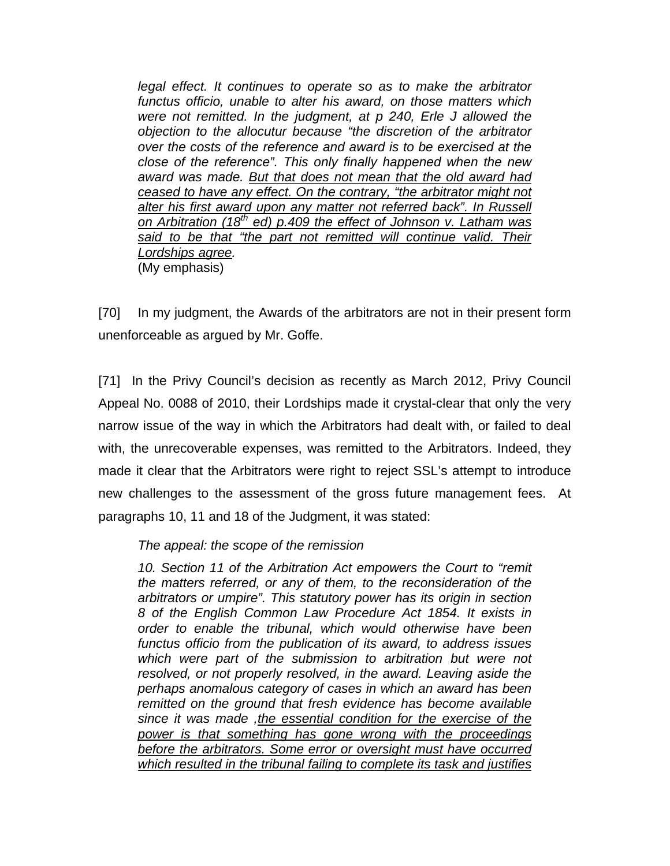*legal effect. It continues to operate so as to make the arbitrator functus officio, unable to alter his award, on those matters which were not remitted. In the judgment, at p 240, Erle J allowed the objection to the allocutur because "the discretion of the arbitrator over the costs of the reference and award is to be exercised at the close of the reference". This only finally happened when the new award was made. But that does not mean that the old award had ceased to have any effect. On the contrary, "the arbitrator might not alter his first award upon any matter not referred back". In Russell on Arbitration (18th ed) p.409 the effect of Johnson v. Latham was*  said to be that "the part not remitted will continue valid. Their *Lordships agree.*  (My emphasis)

[70] In my judgment, the Awards of the arbitrators are not in their present form unenforceable as argued by Mr. Goffe.

[71] In the Privy Council's decision as recently as March 2012, Privy Council Appeal No. 0088 of 2010, their Lordships made it crystal-clear that only the very narrow issue of the way in which the Arbitrators had dealt with, or failed to deal with, the unrecoverable expenses, was remitted to the Arbitrators. Indeed, they made it clear that the Arbitrators were right to reject SSL's attempt to introduce new challenges to the assessment of the gross future management fees. At paragraphs 10, 11 and 18 of the Judgment, it was stated:

### *The appeal: the scope of the remission*

10. Section 11 of the Arbitration Act empowers the Court to "remit" *the matters referred, or any of them, to the reconsideration of the arbitrators or umpire". This statutory power has its origin in section 8 of the English Common Law Procedure Act 1854. It exists in order to enable the tribunal, which would otherwise have been functus officio from the publication of its award, to address issues which were part of the submission to arbitration but were not resolved, or not properly resolved, in the award. Leaving aside the perhaps anomalous category of cases in which an award has been remitted on the ground that fresh evidence has become available since it was made ,the essential condition for the exercise of the power is that something has gone wrong with the proceedings before the arbitrators. Some error or oversight must have occurred which resulted in the tribunal failing to complete its task and justifies*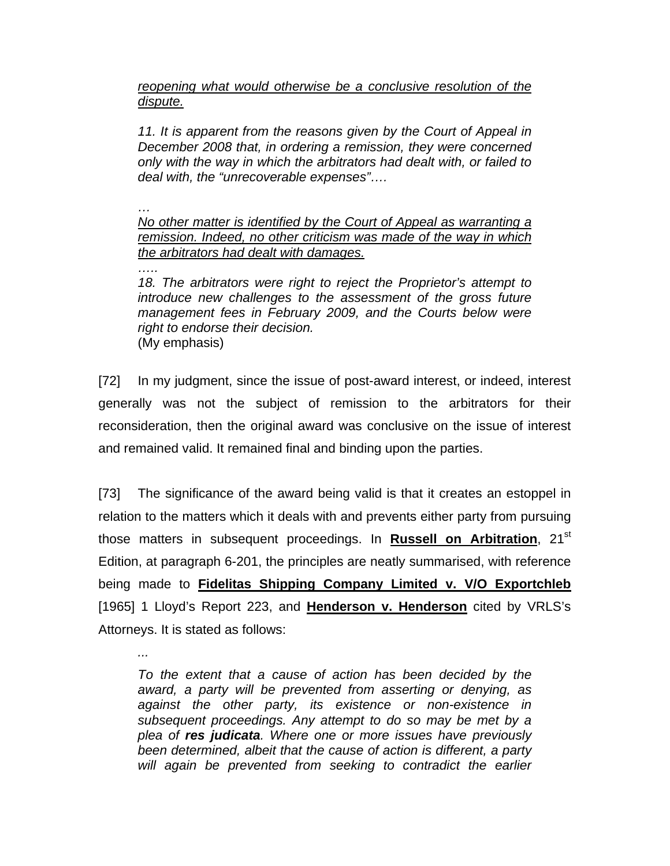*reopening what would otherwise be a conclusive resolution of the dispute.* 

*11. It is apparent from the reasons given by the Court of Appeal in December 2008 that, in ordering a remission, they were concerned only with the way in which the arbitrators had dealt with, or failed to deal with, the "unrecoverable expenses"….* 

*… No other matter is identified by the Court of Appeal as warranting a remission. Indeed, no other criticism was made of the way in which the arbitrators had dealt with damages.* 

*….. 18. The arbitrators were right to reject the Proprietor's attempt to introduce new challenges to the assessment of the gross future management fees in February 2009, and the Courts below were right to endorse their decision.*  (My emphasis)

[72] In my judgment, since the issue of post-award interest, or indeed, interest generally was not the subject of remission to the arbitrators for their reconsideration, then the original award was conclusive on the issue of interest and remained valid. It remained final and binding upon the parties.

[73] The significance of the award being valid is that it creates an estoppel in relation to the matters which it deals with and prevents either party from pursuing those matters in subsequent proceedings. In **Russell on Arbitration**, 21st Edition, at paragraph 6-201, the principles are neatly summarised, with reference being made to **Fidelitas Shipping Company Limited v. V/O Exportchleb** [1965] 1 Lloyd's Report 223, and **Henderson v. Henderson** cited by VRLS's Attorneys. It is stated as follows:

*To the extent that a cause of action has been decided by the award, a party will be prevented from asserting or denying, as against the other party, its existence or non-existence in subsequent proceedings. Any attempt to do so may be met by a plea of res judicata. Where one or more issues have previously been determined, albeit that the cause of action is different, a party will again be prevented from seeking to contradict the earlier* 

*...*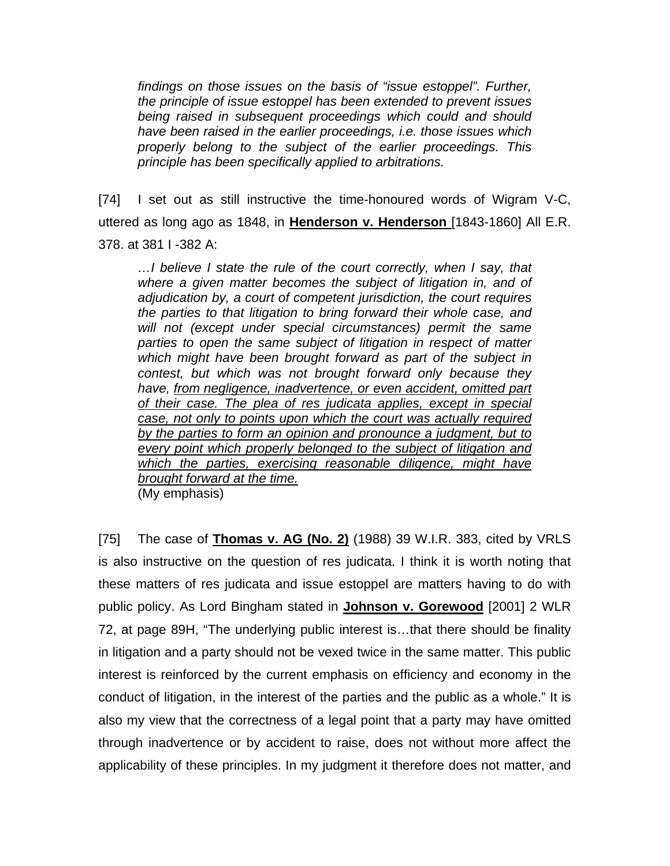*findings on those issues on the basis of "issue estoppel". Further, the principle of issue estoppel has been extended to prevent issues being raised in subsequent proceedings which could and should have been raised in the earlier proceedings, i.e. those issues which properly belong to the subject of the earlier proceedings. This principle has been specifically applied to arbitrations.* 

[74] I set out as still instructive the time-honoured words of Wigram V-C, uttered as long ago as 1848, in **Henderson v. Henderson** [1843-1860] All E.R. 378. at 381 I -382 A:

*…I believe I state the rule of the court correctly, when I say, that where a given matter becomes the subject of litigation in, and of adjudication by, a court of competent jurisdiction, the court requires the parties to that litigation to bring forward their whole case, and will not (except under special circumstances) permit the same parties to open the same subject of litigation in respect of matter which might have been brought forward as part of the subject in contest, but which was not brought forward only because they have, from negligence, inadvertence, or even accident, omitted part of their case. The plea of res judicata applies, except in special case, not only to points upon which the court was actually required by the parties to form an opinion and pronounce a judgment, but to every point which properly belonged to the subject of litigation and which the parties, exercising reasonable diligence, might have brought forward at the time.*

(My emphasis)

[75] The case of **Thomas v. AG (No. 2)** (1988) 39 W.I.R. 383, cited by VRLS is also instructive on the question of res judicata. I think it is worth noting that these matters of res judicata and issue estoppel are matters having to do with public policy. As Lord Bingham stated in **Johnson v. Gorewood** [2001] 2 WLR 72, at page 89H, "The underlying public interest is…that there should be finality in litigation and a party should not be vexed twice in the same matter. This public interest is reinforced by the current emphasis on efficiency and economy in the conduct of litigation, in the interest of the parties and the public as a whole." It is also my view that the correctness of a legal point that a party may have omitted through inadvertence or by accident to raise, does not without more affect the applicability of these principles. In my judgment it therefore does not matter, and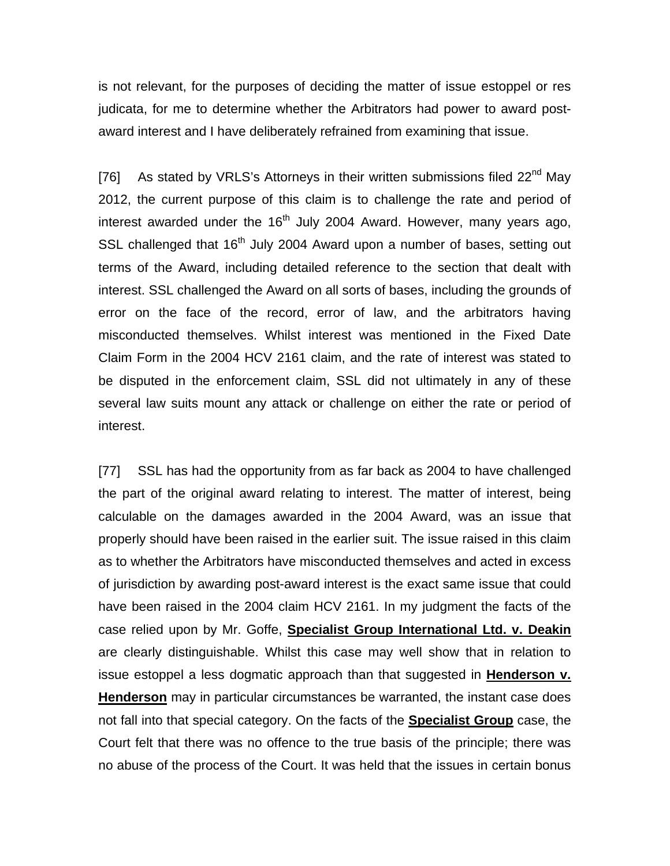is not relevant, for the purposes of deciding the matter of issue estoppel or res judicata, for me to determine whether the Arbitrators had power to award postaward interest and I have deliberately refrained from examining that issue.

[76] As stated by VRLS's Attorneys in their written submissions filed 22<sup>nd</sup> Mav 2012, the current purpose of this claim is to challenge the rate and period of interest awarded under the  $16<sup>th</sup>$  July 2004 Award. However, many years ago, SSL challenged that 16<sup>th</sup> July 2004 Award upon a number of bases, setting out terms of the Award, including detailed reference to the section that dealt with interest. SSL challenged the Award on all sorts of bases, including the grounds of error on the face of the record, error of law, and the arbitrators having misconducted themselves. Whilst interest was mentioned in the Fixed Date Claim Form in the 2004 HCV 2161 claim, and the rate of interest was stated to be disputed in the enforcement claim, SSL did not ultimately in any of these several law suits mount any attack or challenge on either the rate or period of interest.

[77] SSL has had the opportunity from as far back as 2004 to have challenged the part of the original award relating to interest. The matter of interest, being calculable on the damages awarded in the 2004 Award, was an issue that properly should have been raised in the earlier suit. The issue raised in this claim as to whether the Arbitrators have misconducted themselves and acted in excess of jurisdiction by awarding post-award interest is the exact same issue that could have been raised in the 2004 claim HCV 2161. In my judgment the facts of the case relied upon by Mr. Goffe, **Specialist Group International Ltd. v. Deakin** are clearly distinguishable. Whilst this case may well show that in relation to issue estoppel a less dogmatic approach than that suggested in **Henderson v. Henderson** may in particular circumstances be warranted, the instant case does not fall into that special category. On the facts of the **Specialist Group** case, the Court felt that there was no offence to the true basis of the principle; there was no abuse of the process of the Court. It was held that the issues in certain bonus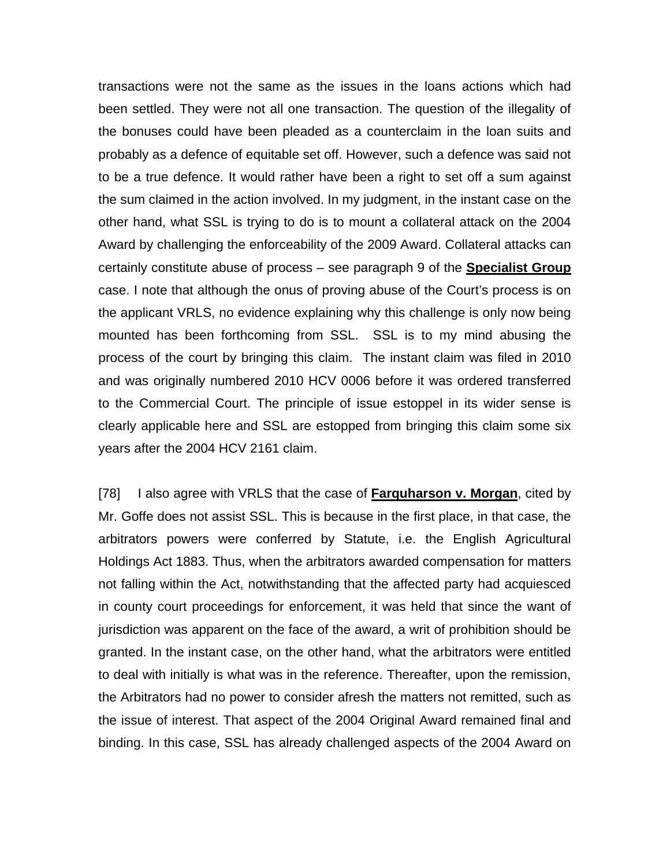transactions were not the same as the issues in the loans actions which had been settled. They were not all one transaction. The question of the illegality of the bonuses could have been pleaded as a counterclaim in the loan suits and probably as a defence of equitable set off. However, such a defence was said not to be a true defence. It would rather have been a right to set off a sum against the sum claimed in the action involved. In my judgment, in the instant case on the other hand, what SSL is trying to do is to mount a collateral attack on the 2004 Award by challenging the enforceability of the 2009 Award. Collateral attacks can certainly constitute abuse of process – see paragraph 9 of the **Specialist Group** case. I note that although the onus of proving abuse of the Court's process is on the applicant VRLS, no evidence explaining why this challenge is only now being mounted has been forthcoming from SSL. SSL is to my mind abusing the process of the court by bringing this claim. The instant claim was filed in 2010 and was originally numbered 2010 HCV 0006 before it was ordered transferred to the Commercial Court. The principle of issue estoppel in its wider sense is clearly applicable here and SSL are estopped from bringing this claim some six years after the 2004 HCV 2161 claim.

[78] I also agree with VRLS that the case of **Farquharson v. Morgan**, cited by Mr. Goffe does not assist SSL. This is because in the first place, in that case, the arbitrators powers were conferred by Statute, i.e. the English Agricultural Holdings Act 1883. Thus, when the arbitrators awarded compensation for matters not falling within the Act, notwithstanding that the affected party had acquiesced in county court proceedings for enforcement, it was held that since the want of jurisdiction was apparent on the face of the award, a writ of prohibition should be granted. In the instant case, on the other hand, what the arbitrators were entitled to deal with initially is what was in the reference. Thereafter, upon the remission, the Arbitrators had no power to consider afresh the matters not remitted, such as the issue of interest. That aspect of the 2004 Original Award remained final and binding. In this case, SSL has already challenged aspects of the 2004 Award on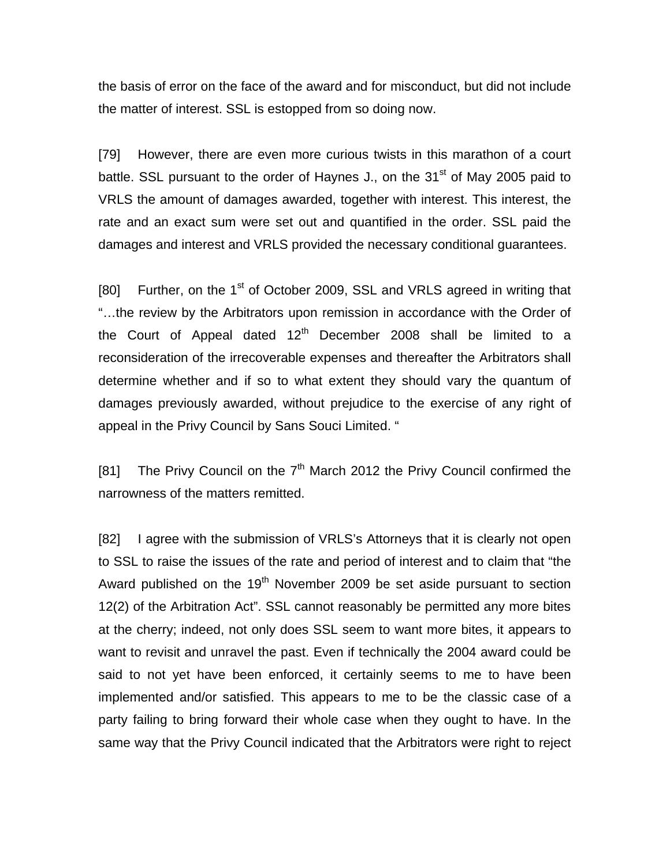the basis of error on the face of the award and for misconduct, but did not include the matter of interest. SSL is estopped from so doing now.

[79] However, there are even more curious twists in this marathon of a court battle. SSL pursuant to the order of Haynes J., on the  $31<sup>st</sup>$  of May 2005 paid to VRLS the amount of damages awarded, together with interest. This interest, the rate and an exact sum were set out and quantified in the order. SSL paid the damages and interest and VRLS provided the necessary conditional guarantees.

[80] Further, on the 1<sup>st</sup> of October 2009, SSL and VRLS agreed in writing that "…the review by the Arbitrators upon remission in accordance with the Order of the Court of Appeal dated  $12<sup>th</sup>$  December 2008 shall be limited to a reconsideration of the irrecoverable expenses and thereafter the Arbitrators shall determine whether and if so to what extent they should vary the quantum of damages previously awarded, without prejudice to the exercise of any right of appeal in the Privy Council by Sans Souci Limited. "

[81] The Privy Council on the  $7<sup>th</sup>$  March 2012 the Privy Council confirmed the narrowness of the matters remitted.

[82] I agree with the submission of VRLS's Attorneys that it is clearly not open to SSL to raise the issues of the rate and period of interest and to claim that "the Award published on the  $19<sup>th</sup>$  November 2009 be set aside pursuant to section 12(2) of the Arbitration Act". SSL cannot reasonably be permitted any more bites at the cherry; indeed, not only does SSL seem to want more bites, it appears to want to revisit and unravel the past. Even if technically the 2004 award could be said to not yet have been enforced, it certainly seems to me to have been implemented and/or satisfied. This appears to me to be the classic case of a party failing to bring forward their whole case when they ought to have. In the same way that the Privy Council indicated that the Arbitrators were right to reject